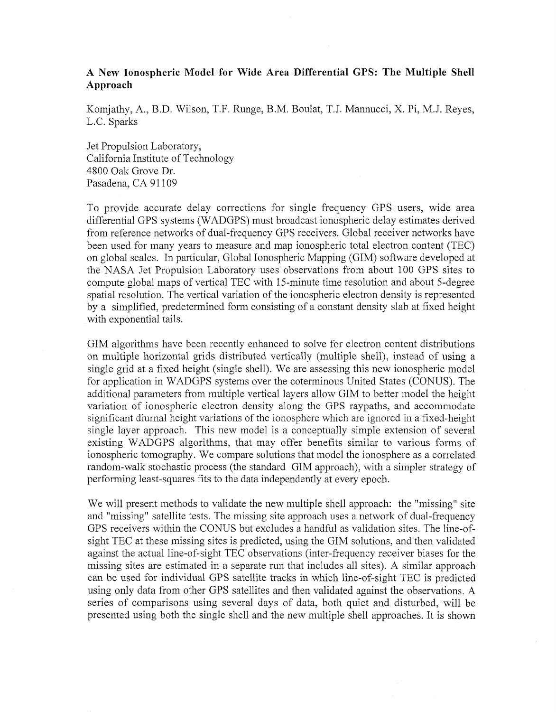## **A New Ionospheric Model for Wide Area Differential GPS: The Multiple Shell Approach**

Komjathy, A., B.D. Wilson, T.F. Runge, B.M. Boulat, T.J. Mannucci, X. Pi, M.J. Reyes, L.C. Sparks

Jet Propulsion Laboratory, California Institute of Technology 4800 Oak Grove Dr. Pasadena, CA 91109

To provide accurate delay corrections for single frequency GPS users, wide area differential GPS systems (WADGPS) must broadcast ionospheric delay estimates derived from reference networks of dual-frequency GPS receivers. Global receiver networks have been used for many years to measure and map ionospheric total electron content (TEC) on global scales. In particular, Global Ionospheric Mapping (GIM) software developed at the NASA Jet Propulsion Laboratory uses observations from about 100 GPS sites to compute global maps of vertical TEC with 15-minute time resolution and about 5-degree spatial resolution. The vertical variation of the ionospheric electron density is represented by a simplified, predetermined form consisting of a constant density slab at fixed height with exponential tails.

GIM algorithms have been recently enhanced to solve for electron content distributions on multiple horizontal grids distributed vertically (multiple shell), instead of using a single grid at a fixed height (single shell). We are assessing this new ionospheric model for application in WADGPS systems over the coterminous United States (CONUS). The additional parameters from multiple vertical layers allow GIM to better model the height variation of ionospheric electron density along the GPS raypaths, and accommodate significant diurnal height variations of the ionosphere which are ignored in a fixed-height single layer approach. This new model is a conceptually simple extension of several existing WADGPS algorithms, that may offer benefits similar to various forms of ionospheric tomography. We compare solutions that model the ionosphere as a correlated random-walk stochastic process (the standard GIM approach), with a simpler strategy of performing least-squares fits to the data independently at every epoch.

We will present methods to validate the new multiple shell approach: the "missing" site and "missing" satellite tests. The missing site approach uses a network of dual-frequency GPS receivers within the CONUS but excludes a handful as validation sites. The line-ofsight TEC at these missing sites is predicted, using the GIM solutions, and then validated against the actual line-of-sight TEC observations (inter-frequency receiver biases for the missing sites are estimated in a separate run that includes all sites). A similar approach can be used for individual GPS satellite tracks in which line-of-sight TEC is predicted using only data from other GPS satellites and then validated against the observations. A series of comparisons using several days of data, both quiet and disturbed, will be presented using both the single shell and the new multiple shell approaches. It is shown